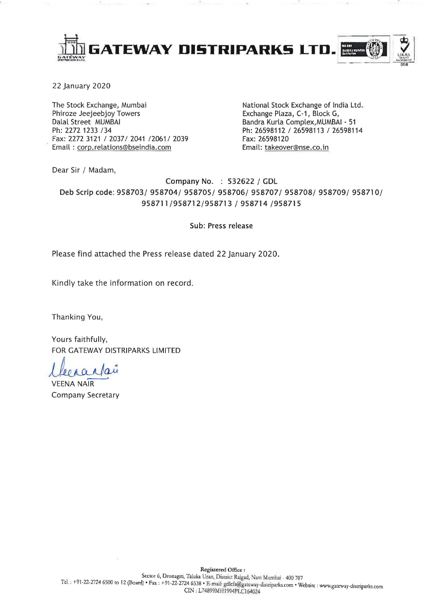

22 January 2020

The Stock Exchange, Mumbai Phiroze Jeejeebjoy Towers Dalal Street MUMBAI Ph: 2272 1233 /34 Fax: 2272 3121 / 2037/ 2041 / 2061 / 2039 Email: corp.relations@bseindia.com

National Stock Exchange of India Ltd. Exchange Plaza, C-1, Block G, Bandra Kurla Complex, MUMBAI - 51 Ph: 26598112 / 26598113 / 26598114 Fax: 26598120 Email: takeover@nse.co.in

Dear Sir / Madam,

Company No. : 532622 / GDL Deb Scrip code: 958703/ 958704/ 958705/ 958706/ 958707/ 958708/ 958709/ 958710/ 958711/958712/958713 / 958714 /958715

Sub: Press release

Please find attached the Press release dated 22 January 2020.

Kindly take the information on record.

Thanking You,

Yours faithfully, FOR GATEWAY DISTRIPARKS LIMITED

arlan

**VEENA NAIR** Company Secretary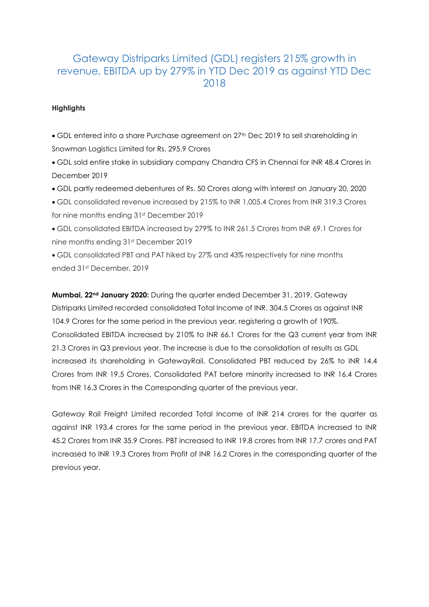## Gateway Distriparks Limited (GDL) registers 215% growth in revenue, EBITDA up by 279% in YTD Dec 2019 as against YTD Dec 2018

## **Highlights**

GDL entered into a share Purchase agreement on 27th Dec 2019 to sell shareholding in Snowman Logistics Limited for Rs. 295.9 Crores

 GDL sold entire stake in subsidiary company Chandra CFS in Chennai for INR 48.4 Crores in December 2019

GDL partly redeemed debentures of Rs. 50 Crores along with interest on January 20, 2020

GDL consolidated revenue increased by 215% to INR 1,005.4 Crores from INR 319.3 Crores for nine months ending 31st December 2019

GDL consolidated EBITDA increased by 279% to INR 261.5 Crores from INR 69.1 Crores for nine months ending 31st December 2019

GDL consolidated PBT and PAT hiked by 27% and 43% respectively for nine months ended 31st December, 2019

**Mumbai, 22nd January 2020:** During the quarter ended December 31, 2019, Gateway Distriparks Limited recorded consolidated Total Income of INR. 304.5 Crores as against INR 104.9 Crores for the same period in the previous year, registering a growth of 190%. Consolidated EBITDA increased by 210% to INR 66.1 Crores for the Q3 current year from INR 21.3 Crores in Q3 previous year. The increase is due to the consolidation of results as GDL increased its shareholding in GatewayRail. Consolidated PBT reduced by 26% to INR 14.4 Crores from INR 19.5 Crores. Consolidated PAT before minority increased to INR 16.4 Crores from INR 16.3 Crores in the Corresponding quarter of the previous year.

Gateway Rail Freight Limited recorded Total Income of INR 214 crores for the quarter as against INR 193.4 crores for the same period in the previous year. EBITDA increased to INR 45.2 Crores from INR 35.9 Crores. PBT increased to INR 19.8 crores from INR 17.7 crores and PAT increased to INR 19.3 Crores from Profit of INR 16.2 Crores in the corresponding quarter of the previous year.